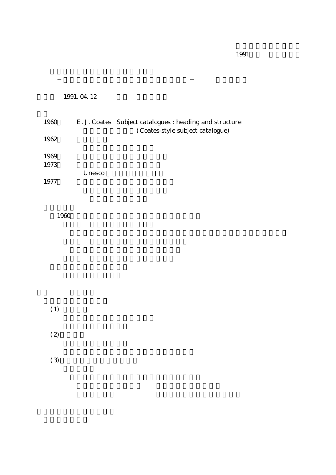1991.04.12

| 1960 |               | E. J. Coates Subject catalogues : heading and structure |
|------|---------------|---------------------------------------------------------|
|      |               | (Coates-style subject catalogue)                        |
| 1962 |               |                                                         |
|      |               |                                                         |
| 1969 |               |                                                         |
| 1973 |               |                                                         |
|      | <b>Unesco</b> |                                                         |
| 1977 |               |                                                         |

1960

 $(1)$  $(2)$ 

 $(3)$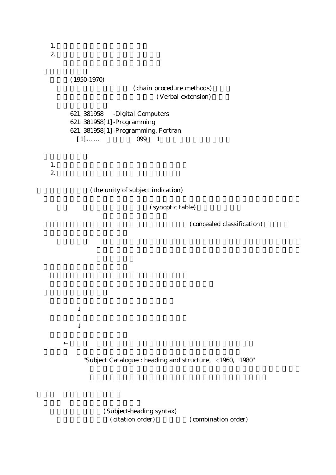1.いかなる分類表を採用するか。  $2.$ 

```
(1950 - 1970)( chain procedure methods)
                          ( Verbal extension)
621.381958 -Digital Computers
621.381958[1]-Programming
621. 381958[1] -Programming. Fortran
 [1] \ldots 099 1
```
1. extending the contract of  $\mathbf{r}$  $2.$ 

(the unity of subject indication)

(synoptic table)

 $(concealed classification)$ 

"Subject Catalogue : heading and structure, c 1960, 1980"

(Subject-heading syntax) (citation order) (combination order)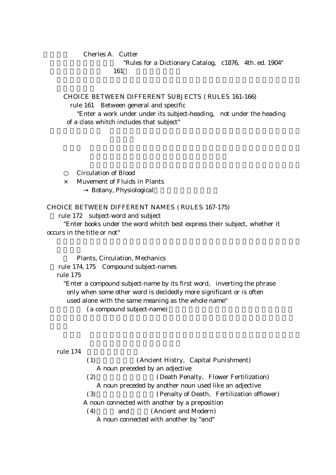### Cherles A. Cutter

"Rules for a Dictionary Catalog, c 1876, 4th. ed. 1904" o辞書体目録規則 161条 標目の特殊記入

CHOICE BETWEEN DIFFERENT SUBJECTS (RULES 161-166)

rule 161 Between general and specific

"Enter a work under under its subject-heading, not under the heading of a class whitch includes that subject"

Circulation of Blood

 $\times$  Muvement of Fluids in Plants Botany, Physiological

CHOICE BETWEEN DIFFERENT NAMES (RULES 167-175)

rule 172 subject-word and subject

"Enter books under the word whitch best express their subject, whether it occurs in the title or not"

Plants. Circulation. Mechanics

rule 174, 175 Compound subject-names

### rule 175

"Enter a compound subject-name by its first word, inverting the phrase only when some other word is decidedly more significant or is often used alone with the same meaning as the whole name"

(a compound subject-name)

rule 174

(1) (Ancient Histry, Capital Punishment) A noun preceded by an adjective (2) (Death Penalty, Flower Fertilization) A noun preceded by another noun used like an adjective (3) (Penalty of Death, Fertilization offlower) A noun connected with another by a preposition (4) and (Ancient and Modern) A noun connected with another by "and"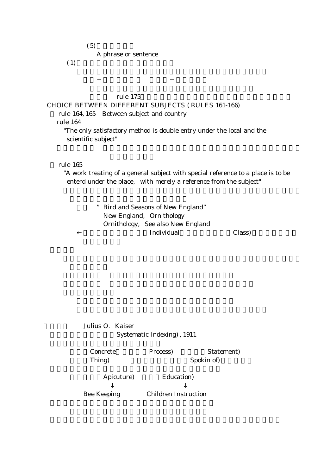$(5)$ 

A phrase or sentence

 $(1)$ 

### rule 175

## CHOICE BETWEEN DIFFERENT SUBJECTS (RULES 161-166)

rule 164, 165 Between subject and country

rule 164

"The only satisfactory method is double entry under the local and the scientific subject"

### rule 165

"A work treating of a general subject with special reference to a place is to be enterd under the place, with merely a reference from the subject"

> " Bird and Seasons of New England" New England, Ornithology Ornithology, See also New England Findividual Class

Julius O. Kaiser Systematic Indexing), 1911

( ) Concrete Process ( ) = Statement ( ) <br/> Statement ( ) <br/> Statement ( ) <br/>  $\blacksquare$  Statement ( ) = Statement ( ) = Statement ( ) = Statement ( ) = Statement ( ) = Statement ( ) = Statement ( ) = Statement ( ) = Thing ( ) and Spokin of Spokin of Spokin of Spokin of Spokin of Spokin of Spokin Spokin of Spokin Spokin Spokin Spokin Spokin Spokin Spokin Spokin Spokin Spokin Spokin Spokin Spokin Spokin Spokin Spokin Spokin Spokin Spoki

Apicuture) Education)

Bee Keeping Children Instruction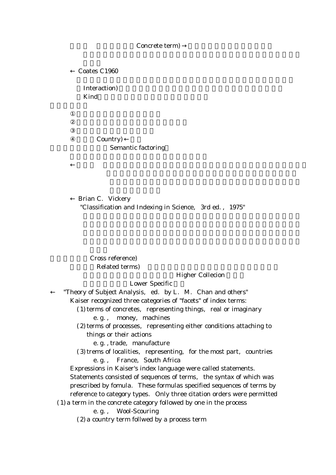#### Concrete term)

Coates C1960

Interaction) Kind **Kind** 

# Country) Semantic factoring

Brian C. Vickery "Classification and Indexing in Science, 3rd ed., 1975"

Cross reference) Related terms)

#### **Higher Collecion**

#### Lower Specific

"Theory of Subject Analysis, ed. by L. M. Chan and others"

Kaiser recognized three categories of "facets" of index terms:

 $(1)$  terms of concretes, representing things, real or imaginary

e.g., money, machines

 $(2)$  terms of processes, representing either conditions attaching to things or their actions

e.g., trade, manufacture

 $(3)$  trems of localities, representing, for the most part, countries e.g., France, South Africa

Expressions in Kaiser's index language were called statements.

Statements consisted of sequences of terms, the syntax of which was prescribed by fomula. These formulas specified sequences of terms by reference to category types. Only three citation orders were permitted

(1)a term in the concrete category followed by one in the process

e.g., Wool-Scouring

(2)a country term follwed by a process term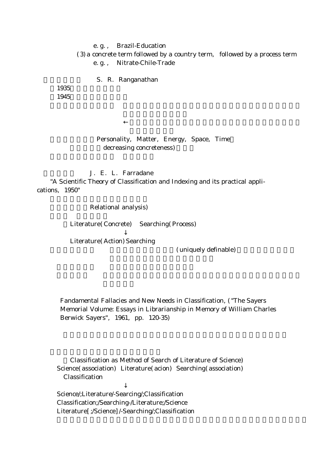e.g., Brazil-Education  $(3)$  a concrete term followed by a country term, followed by a process term e.g., Nitrate-Chile-Trade

S. R. Ranganathan

1935 1945

## Personality, Matter, Energy, Space, Time decreasing concreteness)

J. E. L. Farradane

"A Scientific Theory of Classification and Indexing and its practical applications, 1950"

Relational analysis)

Literature (Concrete) Searching (Process)

Literature (Action) Searching

(uniquely definable)

Fandamental Fallacies and New Needs in Classification, ("The Sayers Memorial Volume: Essays in Librarianship in Memory of William Charles Berwick Sayers", 1961, pp. 120-35)

Classification as Method of Search of Literature of Science) Science (association) Literature (acion) Searching (association) Classification

Science/;Literature/-Searcing/;Classification Classification;/Searching-/Literature;/Science Literature [ ;/Science ] /-Searching/;Classification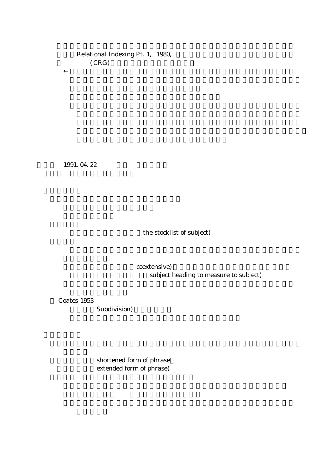# Relational Indexing Pt. 1, 1980,  $(CRG)$

1991.04.22

the stocklist of subject)

coextensive) subject heading to measure to subject)

Coates 1953

Subdivision)

shortened form of phrase extended form of phrase)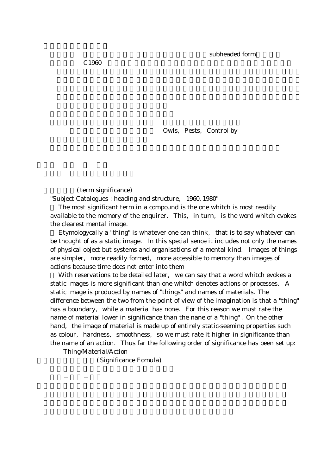Owls, Pests, Control by

(term significance) "Subject Catalogues : heading and structure, 1960, 1980"

The most significant term in a compound is the one whitch is most readily available to the memory of the enquirer. This, in turn, is the word whitch evokes the clearest mental image.

Etymologycally a "thing" is whatever one can think, that is to say whatever can be thought of as a static image. In this special sence it includes not only the names of physical object but systems and organisations of a mental kind. Images of things are simpler, more readily formed, more accessible to memory than images of actions because time does not enter into them

With reservations to be detailed later, we can say that a word whitch evokes a static images is more significant than one whitch denotes actions or processes A . static image is produced by names of "things" and names of materials. The difference between the two from the point of view of the imagination is that a "thing" has a boundary, while a material has none. For this reason we must rate the name of material lower in significance than the nane of a "thing". On the other hand, the image of material is made up of entirely static-seeming properties such as colour, hardness, smoothness, so we must rate it higher in significance than the name of an action. Thus far the following order of significance has been set up:

Thing/Material/Action

(Significance Fomula)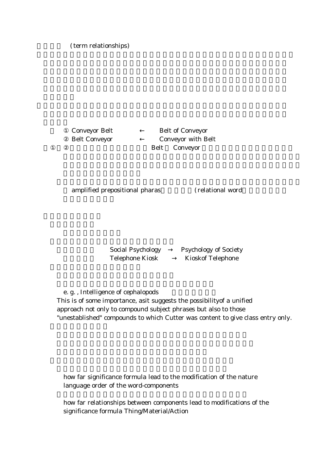(term relationships)

**Conveyor Belt Belt of Conveyor** Belt Conveyor Conveyor with Belt Belt Conveyor

amplified prepositional pharas (relational word

Social Psychology Psychology of Society Telephone Kiosk **Kioskof Telephone** 

e.g., Intelligence of cephalopods

This is of some importance, asit suggests the possibilityof a unified approach not only to compound subject phrases but also to those "unestablished" compounds to which Cutter was content to give class entry only.

how far significance formula lead to the modification of the nature language order of the word-components

how far relationships between components lead to modifications of the significance formula Thing/Material/Action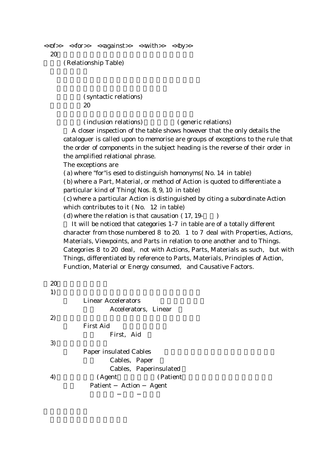```
<<of>> <<for>> <<against>> <<with>> <<by>>20(Relationship Table)
```
(syntactic relations) o類型8~20

(inclusion relations) (generic relations)

A closer inspection of the table shows however that the only details the cataloguer is called upon to memorise are groups of exceptions to the rule that the order of components in the subject heading is the reverse of their order in the amplified relational phrase.

The exceptions are

 $(a)$  where "for"is esed to distinguish homonyms (No. 14 in table)

(b) where a Part, Material, or method of Action is quoted to differentiate a particular kind of Thing (Nos.  $8, 9, 10$  in table)

(c) where a particular Action is distinguished by citing a subordinate Action which contributes to it  $($  No  $12$  in table $)$ 

 $(d)$  where the relation is that causation  $(17, 19 - )$ 

It will be noticed that categories  $1-7$  in table are of a totally different character from those numbered  $8$  to  $20$ . 1 to 7 deal with Properties, Actions, Materials, Viewpoints, and Parts in relation to one another and to Things. Categories  $8$  to  $20$  deal, not with Actions. Parts, Materials as such, but with Things, differentiated by reference to Parts, Materials, Principles of Action, Function, Material or Energy consumed, and Causative Factors.

| 20 |                                |
|----|--------------------------------|
| 1) |                                |
|    | <b>Linear Accelerators</b>     |
|    | Accelerators, Linear           |
| 2) |                                |
|    | <b>First Aid</b>               |
|    | First, Aid                     |
| 3) |                                |
|    | <b>Paper insulated Cables</b>  |
|    | Cables, Paper                  |
|    | Cables, Paperinsulated         |
| 4) | (Agent<br>(Patient             |
|    | Patient Action<br><b>Agent</b> |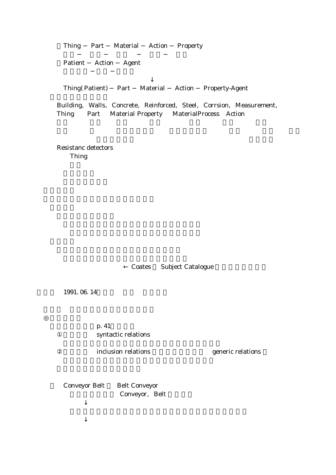Thing Part Material Action Property

Patient Action Agent

Thing (Patient) Part Material Action Property-Agent

Building, Walls, Concrete, Reinforced, Steel, Corrsion, Measurement, Thing Part Material Property MaterialProcess Action

Resistanc detectors Thing

Coates Subject Catalogue

1991.06.14

 $p.41$ syntactic relations

inclusion relations  $\qquad \qquad$  generic relations

Conveyor Belt Belt Conveyor Conveyor, Belt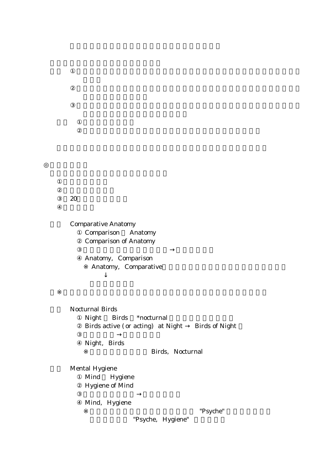$20$ 

**Comparative Anatomy** Comparison Anatomy Comparison of Anatomy

> Anatomy, Comparison Anatomy, Comparative

Nocturnal Birds

Night Birds \*nocturnal Birds active (or acting) at Night Birds of Night

Night, Birds

Birds, Nocturnal

Mental Hygiene Mind Hygiene Hygiene of Mind

Mind, Hygiene

"Psyche"

"Psyche, Hygiene"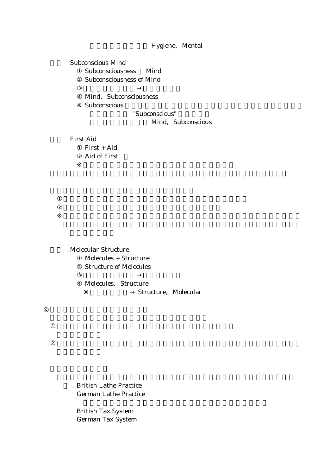# Hygiene, Mental

Subconscious Mind Subconsciousness Mind Subconsciousness of Mind

> Mind, Subconsciousness Subconscious "Subconscious"

> > Mind, Subconscious

First Aid First + Aid Aid of First

Molecular Structure Molecules + Structure Structure of Molecules

> Molecules, Structure Structure, Molecular

British Lathe Practice German Lathe Practice

British Tax System German Tax System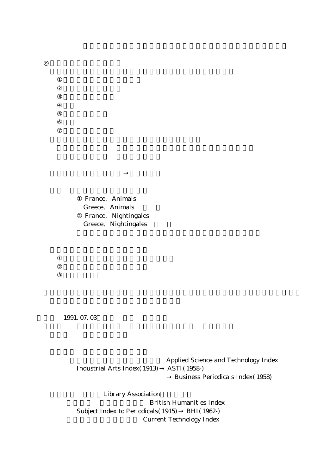France, Animals Greece, Animals France, Nightingales Greece, Nightingales

1991.07.03

Applied Science and Technology Index Industrial Arts Index (1913) ASTI (1958) Business Periodicals Index (1958)

**Library Association** British Humanities Index Subject Index to Periodicals (1915) BHI (1962-) **Current Technology Index**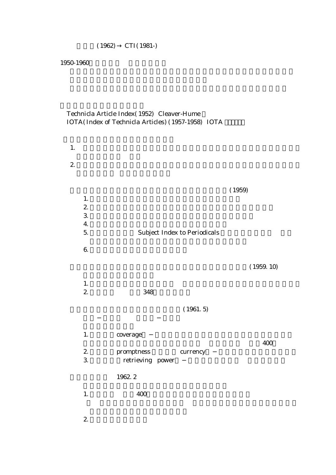1950 1960

# Technicla Article Index (1952) Cleaver-Hume IOTA (Index of Technicla Articles) (1957-1958) IOTA

| 1.                       |                  |                                     |            |
|--------------------------|------------------|-------------------------------------|------------|
| $\overline{\mathcal{Z}}$ |                  |                                     |            |
|                          |                  |                                     |            |
|                          |                  |                                     | (1959)     |
|                          | 1.               |                                     |            |
|                          | $\mathbf{2}$     |                                     |            |
|                          | $\mathfrak{S}$   |                                     |            |
|                          | $\overline{4}$ . |                                     |            |
|                          | 5.               | <b>Subject Index to Periodicals</b> |            |
|                          | $6\!\!$          |                                     |            |
|                          |                  |                                     |            |
|                          |                  |                                     | (1959. 10) |
|                          |                  |                                     |            |
|                          | 1.               |                                     |            |
|                          | $\mathbf{2}$     | 348                                 |            |
|                          |                  | (1961.5)                            |            |
|                          |                  |                                     |            |
|                          |                  |                                     |            |
|                          | 1.               | coverage                            |            |
|                          |                  |                                     | 400        |
|                          | $\mathbf{2}$     | promptness<br>currency              |            |
|                          | $\mathfrak{S}$   | retrieving power                    |            |
|                          |                  | 1962.2                              |            |
|                          |                  |                                     |            |
|                          | $1.$             | 400                                 |            |
|                          |                  |                                     |            |

2.  $\blacksquare$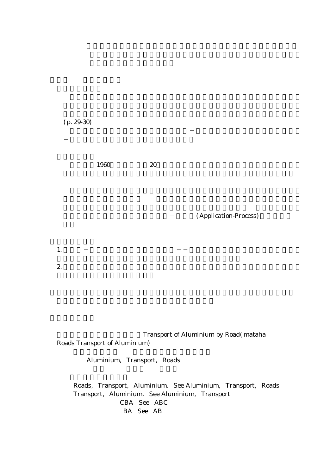$(p.29-30)$ 

 $1960$   $20$ 

(Application-Process)

1.  $\blacksquare$ 

2.  $\alpha$ 

Transport of Aluminium by Road (mataha Roads Transport of Aluminium)

Aluminium, Transport, Roads

Roads, Transport, Aluminium. See Aluminium, Transport, Roads Transport, Aluminium. See Aluminium, Transport CBA See ABC BA See AB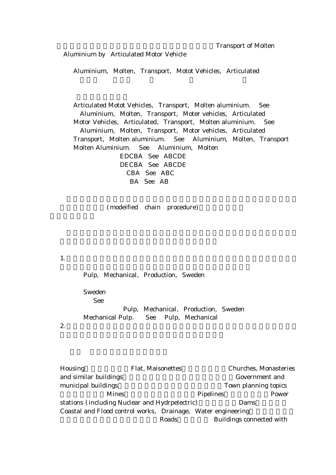Aluminium by Articulated Motor Vehicle

Aluminium, Molten, Transport, Motot Vehicles, Articulated

Articulated Motot Vehicles, Transport, Molten aluminium. See Aluminium, Molten, Transport, Moter vehicles, Articulated Motor Vehicles, Articulated, Transport, Molten aluminium. See Aluminium, Molten, Transport, Motor vehicles, Articulated Transport, Molten aluminium. See Aluminium, Molten, Transport Molten Aluminium. See Aluminium. Molten EDCBA See ABCDE DECBA See ABCDE CBA See ABC

BA See AB

(modeified chain procedure)

1.

Pulp, Mechanical, Production, Sweden Sweden See Pulp, Mechanical, Production, Sweden Mechanical Pulp. See Pulp, Mechanical 2.  $\alpha$ 

Housing Flat, Maisonettes Churches, Monasteries († 1991) and similar buildings Government and (Government and  $\sim$ municipal buildings Town planning topics (Town planning topics) Mines **(A)** (Mines Pipelines Power stations (including Nuclear and Hydrpelectric) Dams Coastal and Flood control works, Drainage, Water engineering Roads Buildings connected with